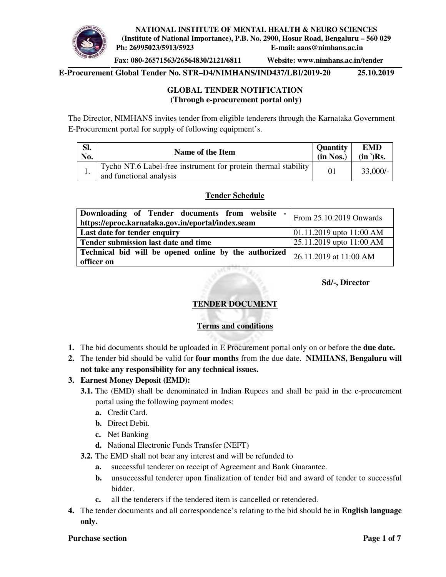**Fax: 080-26571563/26564830/2121/6811 Website: www.nimhans.ac.in/tender** 

**E-Procurement Global Tender No. STR–D4/NIMHANS/IND437/LBI/2019-20 25.10.2019** 

## **GLOBAL TENDER NOTIFICATION (Through e-procurement portal only)**

The Director, NIMHANS invites tender from eligible tenderers through the Karnataka Government E-Procurement portal for supply of following equipment's.

| SI. | Name of the Item                                                                          | <b>Quantity</b> | <b>EMD</b>    |
|-----|-------------------------------------------------------------------------------------------|-----------------|---------------|
| No. |                                                                                           | (in Nos.)       | $(in )$ $Rs.$ |
|     | Tycho NT.6 Label-free instrument for protein thermal stability<br>and functional analysis | 01              | $33,000/-$    |

## **Tender Schedule**

| Downloading of Tender documents from website<br>$\sim$<br>https://eproc.karnataka.gov.in/eportal/index.seam | From 25.10.2019 Onwards    |
|-------------------------------------------------------------------------------------------------------------|----------------------------|
| Last date for tender enquiry                                                                                | 01.11.2019 upto $11:00$ AM |
| Tender submission last date and time                                                                        | 25.11.2019 upto 11:00 AM   |
| Technical bid will be opened online by the authorized<br>officer on                                         | $126.11.2019$ at 11:00 AM  |

#### **Sd/-, Director**

## **TENDER DOCUMENT**

## **Terms and conditions**

- **1.** The bid documents should be uploaded in E Procurement portal only on or before the **due date.**
- **2.** The tender bid should be valid for **four months** from the due date. **NIMHANS, Bengaluru will not take any responsibility for any technical issues.**

## **3. Earnest Money Deposit (EMD):**

- **3.1.** The (EMD) shall be denominated in Indian Rupees and shall be paid in the e-procurement portal using the following payment modes:
	- **a.** Credit Card.
	- **b.** Direct Debit.
	- **c.** Net Banking
	- **d.** National Electronic Funds Transfer (NEFT)
- **3.2.** The EMD shall not bear any interest and will be refunded to
	- **a.** successful tenderer on receipt of Agreement and Bank Guarantee.
	- **b.** unsuccessful tenderer upon finalization of tender bid and award of tender to successful bidder.
	- **c.** all the tenderers if the tendered item is cancelled or retendered.
- **4.** The tender documents and all correspondence's relating to the bid should be in **English language only.**

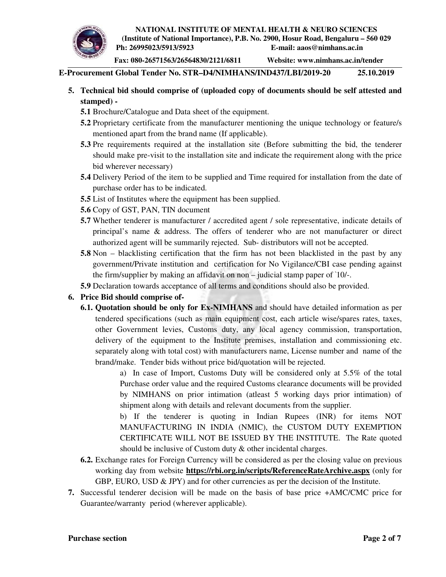#### **NATIONAL INSTITUTE OF MENTAL HEALTH & NEURO SCIENCES (Institute of National Importance), P.B. No. 2900, Hosur Road, Bengaluru – 560 029**



 **Ph: 26995023/5913/5923 E-mail: aaos@nimhans.ac.in** 

**Fax: 080-26571563/26564830/2121/6811 Website: www.nimhans.ac.in/tender** 

**E-Procurement Global Tender No. STR–D4/NIMHANS/IND437/LBI/2019-20 25.10.2019** 

- **5. Technical bid should comprise of (uploaded copy of documents should be self attested and stamped) -** 
	- **5.1** Brochure/Catalogue and Data sheet of the equipment.
	- **5.2** Proprietary certificate from the manufacturer mentioning the unique technology or feature/s mentioned apart from the brand name (If applicable).
	- **5.3** Pre requirements required at the installation site (Before submitting the bid, the tenderer should make pre-visit to the installation site and indicate the requirement along with the price bid wherever necessary)
	- **5.4** Delivery Period of the item to be supplied and Time required for installation from the date of purchase order has to be indicated.
	- **5.5** List of Institutes where the equipment has been supplied.
	- **5.6** Copy of GST, PAN, TIN document
	- **5.7** Whether tenderer is manufacturer / accredited agent / sole representative, indicate details of principal's name & address. The offers of tenderer who are not manufacturer or direct authorized agent will be summarily rejected. Sub- distributors will not be accepted.
	- **5.8** Non blacklisting certification that the firm has not been blacklisted in the past by any government/Private institution and certification for No Vigilance/CBI case pending against the firm/supplier by making an affidavit on non – judicial stamp paper of `10/-.
	- **5.9** Declaration towards acceptance of all terms and conditions should also be provided.
- **6. Price Bid should comprise of-**
	- **6.1. Quotation should be only for Ex-NIMHANS** and should have detailed information as per tendered specifications (such as main equipment cost, each article wise/spares rates, taxes, other Government levies, Customs duty, any local agency commission, transportation, delivery of the equipment to the Institute premises, installation and commissioning etc. separately along with total cost) with manufacturers name, License number and name of the brand/make. Tender bids without price bid/quotation will be rejected.

a) In case of Import, Customs Duty will be considered only at 5.5% of the total Purchase order value and the required Customs clearance documents will be provided by NIMHANS on prior intimation (atleast 5 working days prior intimation) of shipment along with details and relevant documents from the supplier.

b) If the tenderer is quoting in Indian Rupees (INR) for items NOT MANUFACTURING IN INDIA (NMIC), the CUSTOM DUTY EXEMPTION CERTIFICATE WILL NOT BE ISSUED BY THE INSTITUTE. The Rate quoted should be inclusive of Custom duty & other incidental charges.

- **6.2.** Exchange rates for Foreign Currency will be considered as per the closing value on previous working day from website **https://rbi.org.in/scripts/ReferenceRateArchive.aspx** (only for GBP, EURO, USD & JPY) and for other currencies as per the decision of the Institute.
- **7.** Successful tenderer decision will be made on the basis of base price +AMC/CMC price for Guarantee/warranty period (wherever applicable).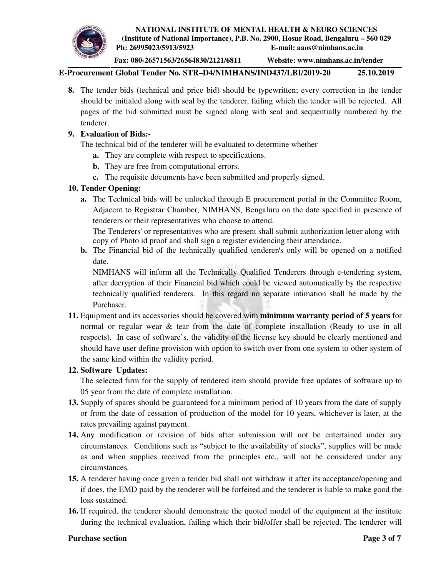

**Fax: 080-26571563/26564830/2121/6811 Website: www.nimhans.ac.in/tender** 

**E-Procurement Global Tender No. STR–D4/NIMHANS/IND437/LBI/2019-20 25.10.2019** 

**8.** The tender bids (technical and price bid) should be typewritten; every correction in the tender should be initialed along with seal by the tenderer, failing which the tender will be rejected. All pages of the bid submitted must be signed along with seal and sequentially numbered by the tenderer.

## **9. Evaluation of Bids:-**

The technical bid of the tenderer will be evaluated to determine whether

- **a.** They are complete with respect to specifications.
- **b.** They are free from computational errors.
- **c.** The requisite documents have been submitted and properly signed.

## **10. Tender Opening:**

**a.** The Technical bids will be unlocked through E procurement portal in the Committee Room, Adjacent to Registrar Chamber, NIMHANS, Bengaluru on the date specified in presence of tenderers or their representatives who choose to attend.

The Tenderers' or representatives who are present shall submit authorization letter along with copy of Photo id proof and shall sign a register evidencing their attendance.

**b.** The Financial bid of the technically qualified tenderer/s only will be opened on a notified date.

NIMHANS will inform all the Technically Qualified Tenderers through e-tendering system, after decryption of their Financial bid which could be viewed automatically by the respective technically qualified tenderers. In this regard no separate intimation shall be made by the Purchaser.

**11.** Equipment and its accessories should be covered with **minimum warranty period of 5 years** for normal or regular wear & tear from the date of complete installation (Ready to use in all respects). In case of software's, the validity of the license key should be clearly mentioned and should have user define provision with option to switch over from one system to other system of the same kind within the validity period.

## **12. Software Updates:**

The selected firm for the supply of tendered item should provide free updates of software up to 05 year from the date of complete installation.

- **13.** Supply of spares should be guaranteed for a minimum period of 10 years from the date of supply or from the date of cessation of production of the model for 10 years, whichever is later, at the rates prevailing against payment.
- **14.** Any modification or revision of bids after submission will not be entertained under any circumstances. Conditions such as "subject to the availability of stocks", supplies will be made as and when supplies received from the principles etc., will not be considered under any circumstances.
- **15.** A tenderer having once given a tender bid shall not withdraw it after its acceptance/opening and if does, the EMD paid by the tenderer will be forfeited and the tenderer is liable to make good the loss sustained.
- **16.** If required, the tenderer should demonstrate the quoted model of the equipment at the institute during the technical evaluation, failing which their bid/offer shall be rejected. The tenderer will

#### **Purchase section Page 3** of 7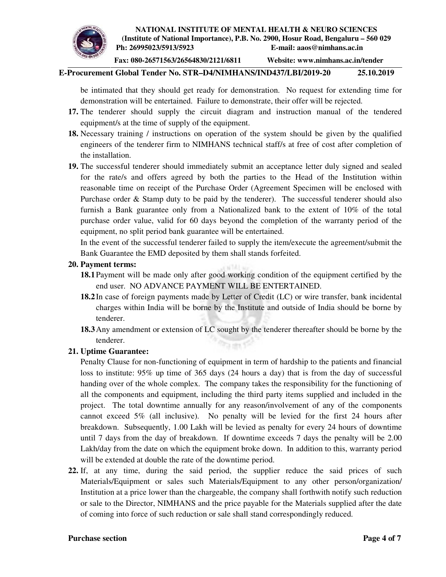

**Fax: 080-26571563/26564830/2121/6811 Website: www.nimhans.ac.in/tender** 

## **E-Procurement Global Tender No. STR–D4/NIMHANS/IND437/LBI/2019-20 25.10.2019**

be intimated that they should get ready for demonstration. No request for extending time for demonstration will be entertained. Failure to demonstrate, their offer will be rejected.

- **17.** The tenderer should supply the circuit diagram and instruction manual of the tendered equipment/s at the time of supply of the equipment.
- **18.** Necessary training / instructions on operation of the system should be given by the qualified engineers of the tenderer firm to NIMHANS technical staff/s at free of cost after completion of the installation.
- **19.** The successful tenderer should immediately submit an acceptance letter duly signed and sealed for the rate/s and offers agreed by both the parties to the Head of the Institution within reasonable time on receipt of the Purchase Order (Agreement Specimen will be enclosed with Purchase order & Stamp duty to be paid by the tenderer). The successful tenderer should also furnish a Bank guarantee only from a Nationalized bank to the extent of 10% of the total purchase order value, valid for 60 days beyond the completion of the warranty period of the equipment, no split period bank guarantee will be entertained.

In the event of the successful tenderer failed to supply the item/execute the agreement/submit the Bank Guarantee the EMD deposited by them shall stands forfeited.

#### **20. Payment terms:**

- **18.1**Payment will be made only after good working condition of the equipment certified by the end user. NO ADVANCE PAYMENT WILL BE ENTERTAINED.
- **18.2**In case of foreign payments made by Letter of Credit (LC) or wire transfer, bank incidental charges within India will be borne by the Institute and outside of India should be borne by tenderer.
- **18.3**Any amendment or extension of LC sought by the tenderer thereafter should be borne by the tenderer.

#### **21. Uptime Guarantee:**

Penalty Clause for non-functioning of equipment in term of hardship to the patients and financial loss to institute: 95% up time of 365 days (24 hours a day) that is from the day of successful handing over of the whole complex. The company takes the responsibility for the functioning of all the components and equipment, including the third party items supplied and included in the project. The total downtime annually for any reason/involvement of any of the components cannot exceed 5% (all inclusive). No penalty will be levied for the first 24 hours after breakdown. Subsequently, 1.00 Lakh will be levied as penalty for every 24 hours of downtime until 7 days from the day of breakdown. If downtime exceeds 7 days the penalty will be 2.00 Lakh/day from the date on which the equipment broke down. In addition to this, warranty period will be extended at double the rate of the downtime period.

**22.** If, at any time, during the said period, the supplier reduce the said prices of such Materials/Equipment or sales such Materials/Equipment to any other person/organization/ Institution at a price lower than the chargeable, the company shall forthwith notify such reduction or sale to the Director, NIMHANS and the price payable for the Materials supplied after the date of coming into force of such reduction or sale shall stand correspondingly reduced.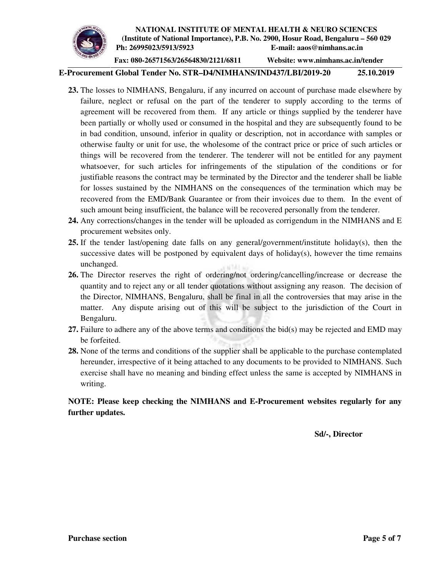**Fax: 080-26571563/26564830/2121/6811 Website: www.nimhans.ac.in/tender** 

## **E-Procurement Global Tender No. STR–D4/NIMHANS/IND437/LBI/2019-20 25.10.2019**

- **23.** The losses to NIMHANS, Bengaluru, if any incurred on account of purchase made elsewhere by failure, neglect or refusal on the part of the tenderer to supply according to the terms of agreement will be recovered from them. If any article or things supplied by the tenderer have been partially or wholly used or consumed in the hospital and they are subsequently found to be in bad condition, unsound, inferior in quality or description, not in accordance with samples or otherwise faulty or unit for use, the wholesome of the contract price or price of such articles or things will be recovered from the tenderer. The tenderer will not be entitled for any payment whatsoever, for such articles for infringements of the stipulation of the conditions or for justifiable reasons the contract may be terminated by the Director and the tenderer shall be liable for losses sustained by the NIMHANS on the consequences of the termination which may be recovered from the EMD/Bank Guarantee or from their invoices due to them. In the event of such amount being insufficient, the balance will be recovered personally from the tenderer.
- **24.** Any corrections/changes in the tender will be uploaded as corrigendum in the NIMHANS and E procurement websites only.
- **25.** If the tender last/opening date falls on any general/government/institute holiday(s), then the successive dates will be postponed by equivalent days of holiday(s), however the time remains unchanged.
- **26.** The Director reserves the right of ordering/not ordering/cancelling/increase or decrease the quantity and to reject any or all tender quotations without assigning any reason. The decision of the Director, NIMHANS, Bengaluru, shall be final in all the controversies that may arise in the matter. Any dispute arising out of this will be subject to the jurisdiction of the Court in Bengaluru.
- **27.** Failure to adhere any of the above terms and conditions the bid(s) may be rejected and EMD may be forfeited.
- **28.** None of the terms and conditions of the supplier shall be applicable to the purchase contemplated hereunder, irrespective of it being attached to any documents to be provided to NIMHANS. Such exercise shall have no meaning and binding effect unless the same is accepted by NIMHANS in writing.

## **NOTE: Please keep checking the NIMHANS and E-Procurement websites regularly for any further updates.**

**Sd/-, Director**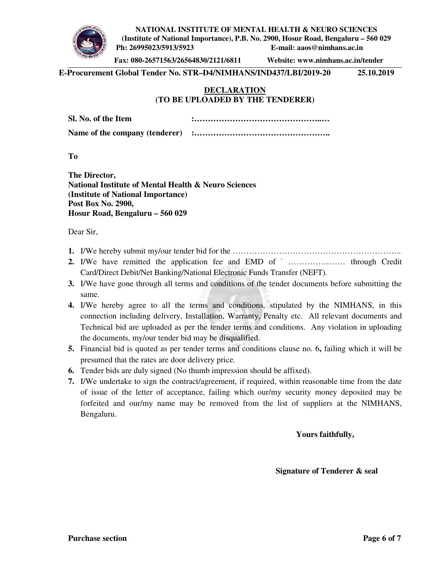**NATIONAL INSTITUTE OF MENTAL HEALTH & NEURO SCIENCES** 



**(Institute of National Importance), P.B. No. 2900, Hosur Road, Bengaluru – 560 029 Ph: 26995023/5913/5923 E-mail: aaos@nimhans.ac.in** 

**Fax: 080-26571563/26564830/2121/6811 Website: www.nimhans.ac.in/tender** 

**E-Procurement Global Tender No. STR–D4/NIMHANS/IND437/LBI/2019-20 25.10.2019** 

## **DECLARATION (TO BE UPLOADED BY THE TENDERER)**

**Sl. No. of the Item :………………………………………..… Name of the company (tenderer) :…………………………………………..**

**To** 

**The Director, National Institute of Mental Health & Neuro Sciences (Institute of National Importance) Post Box No. 2900, Hosur Road, Bengaluru – 560 029** 

Dear Sir,

- **1.** I/We hereby submit my/our tender bid for the ……………………………………………………..
- **2.** I/We have remitted the application fee and EMD of ` ………………… through Credit Card/Direct Debit/Net Banking/National Electronic Funds Transfer (NEFT).
- **3.** I/We have gone through all terms and conditions of the tender documents before submitting the same.
- **4.** I/We hereby agree to all the terms and conditions, stipulated by the NIMHANS, in this connection including delivery, Installation, Warranty, Penalty etc. All relevant documents and Technical bid are uploaded as per the tender terms and conditions. Any violation in uploading the documents, my/our tender bid may be disqualified.
- **5.** Financial bid is quoted as per tender terms and conditions clause no. 6**,** failing which it will be presumed that the rates are door delivery price.
- **6.** Tender bids are duly signed (No thumb impression should be affixed).
- **7.** I/We undertake to sign the contract/agreement, if required, within reasonable time from the date of issue of the letter of acceptance, failing which our/my security money deposited may be forfeited and our/my name may be removed from the list of suppliers at the NIMHANS, Bengaluru.

## **Yours faithfully,**

 **Signature of Tenderer & seal**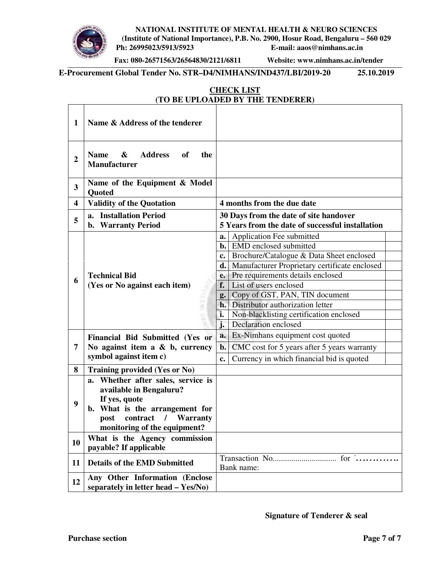**NATIONAL INSTITUTE OF MENTAL HEALTH & NEURO SCIENCES** 



**(Institute of National Importance), P.B. No. 2900, Hosur Road, Bengaluru – 560 029 Ph: 26995023/5913/5923 E-mail: aaos@nimhans.ac.in** 

**Fax: 080-26571563/26564830/2121/6811 Website: www.nimhans.ac.in/tender** 

**E-Procurement Global Tender No. STR–D4/NIMHANS/IND437/LBI/2019-20 25.10.2019** 

|                         | (TO BE UPLOADED BY THE TENDERER)                                                                                                                                                |                                                                                                                                                                                                                                                                                                                                                                                                                                  |  |  |  |
|-------------------------|---------------------------------------------------------------------------------------------------------------------------------------------------------------------------------|----------------------------------------------------------------------------------------------------------------------------------------------------------------------------------------------------------------------------------------------------------------------------------------------------------------------------------------------------------------------------------------------------------------------------------|--|--|--|
| $\mathbf{1}$            | Name & Address of the tenderer                                                                                                                                                  |                                                                                                                                                                                                                                                                                                                                                                                                                                  |  |  |  |
| $\overline{2}$          | <b>Address</b><br><b>Name</b><br>$\boldsymbol{\&}$<br>of<br>the<br><b>Manufacturer</b>                                                                                          |                                                                                                                                                                                                                                                                                                                                                                                                                                  |  |  |  |
| $\overline{\mathbf{3}}$ | Name of the Equipment & Model<br><b>Quoted</b>                                                                                                                                  |                                                                                                                                                                                                                                                                                                                                                                                                                                  |  |  |  |
| $\overline{\mathbf{4}}$ | <b>Validity of the Quotation</b>                                                                                                                                                | 4 months from the due date                                                                                                                                                                                                                                                                                                                                                                                                       |  |  |  |
| 5                       | a. Installation Period<br>b. Warranty Period                                                                                                                                    | 30 Days from the date of site handover<br>5 Years from the date of successful installation                                                                                                                                                                                                                                                                                                                                       |  |  |  |
| 6                       | <b>Technical Bid</b><br>(Yes or No against each item)<br>H<br>f,                                                                                                                | Application Fee submitted<br>a.<br><b>b.</b> EMD enclosed submitted<br>Brochure/Catalogue & Data Sheet enclosed<br>c.<br><b>d.</b> Manufacturer Proprietary certificate enclosed<br>Pre requirements details enclosed<br>e.<br>List of users enclosed<br>f.<br>Copy of GST, PAN, TIN document<br>g.<br><b>h.</b> Distributor authorization letter<br>i.<br>Non-blacklisting certification enclosed<br>j.<br>Declaration enclosed |  |  |  |
| 7                       | Financial Bid Submitted (Yes or<br>No against item a $\&$ b, currency<br>symbol against item c)                                                                                 | Ex-Nimhans equipment cost quoted<br>a.<br>CMC cost for 5 years after 5 years warranty<br>$\mathbf{b}$ .<br>Currency in which financial bid is quoted<br>c.                                                                                                                                                                                                                                                                       |  |  |  |
| 8                       | <b>Training provided (Yes or No)</b>                                                                                                                                            |                                                                                                                                                                                                                                                                                                                                                                                                                                  |  |  |  |
| 9                       | a. Whether after sales, service is<br>available in Bengaluru?<br>If yes, quote<br>b. What is the arrangement for<br>post contract /<br>Warranty<br>monitoring of the equipment? |                                                                                                                                                                                                                                                                                                                                                                                                                                  |  |  |  |
| 10                      | What is the Agency commission<br>payable? If applicable                                                                                                                         |                                                                                                                                                                                                                                                                                                                                                                                                                                  |  |  |  |
| 11                      | <b>Details of the EMD Submitted</b>                                                                                                                                             | Bank name:                                                                                                                                                                                                                                                                                                                                                                                                                       |  |  |  |
| 12                      | Any Other Information (Enclose<br>separately in letter head - Yes/No)                                                                                                           |                                                                                                                                                                                                                                                                                                                                                                                                                                  |  |  |  |

# **CHECK LIST (TO BE UPLOADED BY THE TENDERER)**

**Signature of Tenderer & seal**